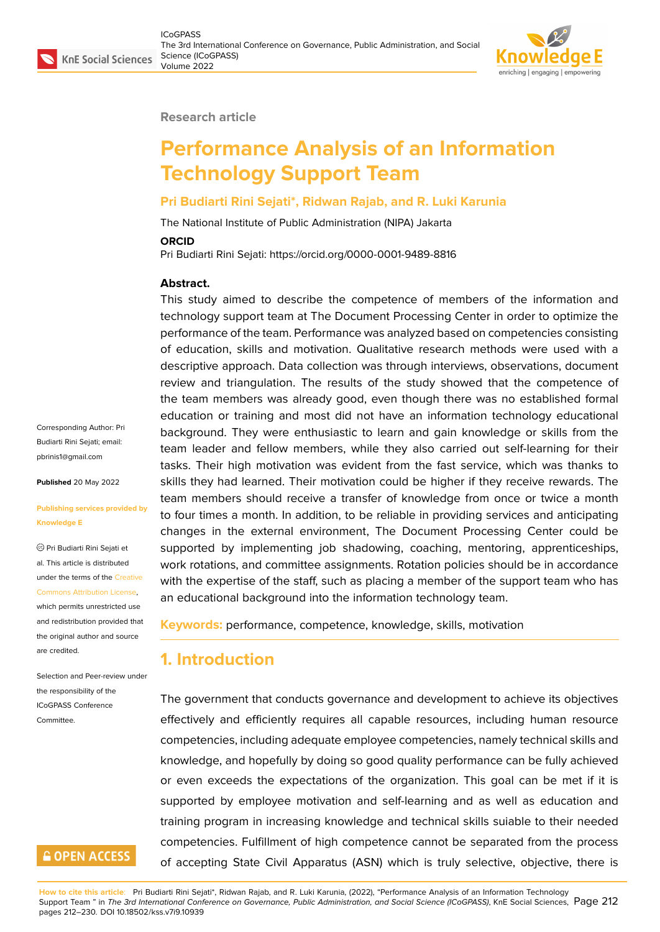

#### **Research article**

# **Performance Analysis of an Information Technology Support Team**

#### **Pri Budiarti Rini Sejati\*, Ridwan Rajab, and R. Luki Karunia**

The National Institute of Public Administration (NIPA) Jakarta

#### **ORCID**

Pri Budiarti Rini Sejati: https://orcid.org/0000-0001-9489-8816

#### **Abstract.**

This study aimed to describe the competence of members of the information and technology support team at The Document Processing Center in order to optimize the performance of the team. Performance was analyzed based on competencies consisting of education, skills and motivation. Qualitative research methods were used with a descriptive approach. Data collection was through interviews, observations, document review and triangulation. The results of the study showed that the competence of the team members was already good, even though there was no established formal education or training and most did not have an information technology educational background. They were enthusiastic to learn and gain knowledge or skills from the team leader and fellow members, while they also carried out self-learning for their tasks. Their high motivation was evident from the fast service, which was thanks to skills they had learned. Their motivation could be higher if they receive rewards. The team members should receive a transfer of knowledge from once or twice a month to four times a month. In addition, to be reliable in providing services and anticipating changes in the external environment, The Document Processing Center could be supported by implementing job shadowing, coaching, mentoring, apprenticeships, work rotations, and committee assignments. Rotation policies should be in accordance with the expertise of the staff, such as placing a member of the support team who has an educational background into the information technology team.

**Keywords:** performance, competence, knowledge, skills, motivation

## **1. Introduction**

The government that conducts governance and development to achieve its objectives effectively and efficiently requires all capable resources, including human resource competencies, including adequate employee competencies, namely technical skills and knowledge, and hopefully by doing so good quality performance can be fully achieved or even exceeds the expectations of the organization. This goal can be met if it is supported by employee motivation and self-learning and as well as education and training program in increasing knowledge and technical skills suiable to their needed competencies. Fulfillment of high competence cannot be separated from the process of accepting State Civil Apparatus (ASN) which is truly selective, objective, there is

Corresponding Author: Pri Budiarti Rini Sejati; email: pbrinis1@gmail.com

**Published** 20 May 2022

#### **[Publishing services](mailto:pbrinis1@gmail.com) provided by Knowledge E**

Pri Budiarti Rini Sejati et al. This article is distributed under the terms of the Creative Commons Attribution License,

which permits unrestricted use and redistribution provided that the original author and [source](https://creativecommons.org/licenses/by/4.0/) [are credited.](https://creativecommons.org/licenses/by/4.0/)

Selection and Peer-review under the responsibility of the ICoGPASS Conference **Committee** 

# **GOPEN ACCESS**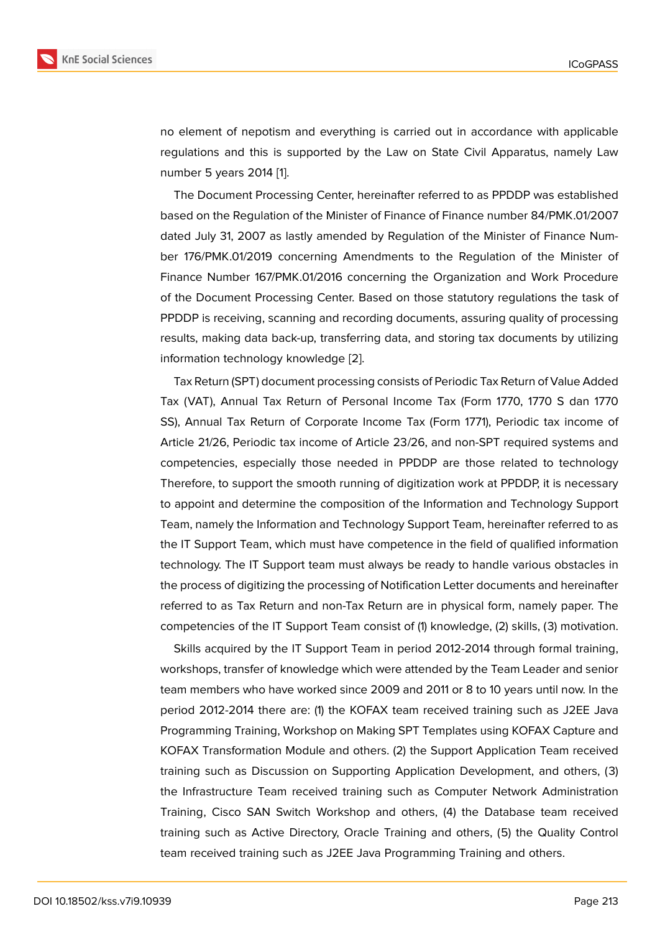no element of nepotism and everything is carried out in accordance with applicable regulations and this is supported by the Law on State Civil Apparatus, namely Law number 5 years 2014 [1].

The Document Processing Center, hereinafter referred to as PPDDP was established based on the Regulation of the Minister of Finance of Finance number 84/PMK.01/2007 dated July 31, 2007 a[s](#page-17-0) lastly amended by Regulation of the Minister of Finance Number 176/PMK.01/2019 concerning Amendments to the Regulation of the Minister of Finance Number 167/PMK.01/2016 concerning the Organization and Work Procedure of the Document Processing Center. Based on those statutory regulations the task of PPDDP is receiving, scanning and recording documents, assuring quality of processing results, making data back-up, transferring data, and storing tax documents by utilizing information technology knowledge [2].

Tax Return (SPT) document processing consists of Periodic Tax Return of Value Added Tax (VAT), Annual Tax Return of Personal Income Tax (Form 1770, 1770 S dan 1770 SS), Annual Tax Return of Corpora[te](#page-17-1) Income Tax (Form 1771), Periodic tax income of Article 21/26, Periodic tax income of Article 23/26, and non-SPT required systems and competencies, especially those needed in PPDDP are those related to technology Therefore, to support the smooth running of digitization work at PPDDP, it is necessary to appoint and determine the composition of the Information and Technology Support Team, namely the Information and Technology Support Team, hereinafter referred to as the IT Support Team, which must have competence in the field of qualified information technology. The IT Support team must always be ready to handle various obstacles in the process of digitizing the processing of Notification Letter documents and hereinafter referred to as Tax Return and non-Tax Return are in physical form, namely paper. The competencies of the IT Support Team consist of (1) knowledge, (2) skills, (3) motivation.

Skills acquired by the IT Support Team in period 2012-2014 through formal training, workshops, transfer of knowledge which were attended by the Team Leader and senior team members who have worked since 2009 and 2011 or 8 to 10 years until now. In the period 2012-2014 there are: (1) the KOFAX team received training such as J2EE Java Programming Training, Workshop on Making SPT Templates using KOFAX Capture and KOFAX Transformation Module and others. (2) the Support Application Team received training such as Discussion on Supporting Application Development, and others, (3) the Infrastructure Team received training such as Computer Network Administration Training, Cisco SAN Switch Workshop and others, (4) the Database team received training such as Active Directory, Oracle Training and others, (5) the Quality Control team received training such as J2EE Java Programming Training and others.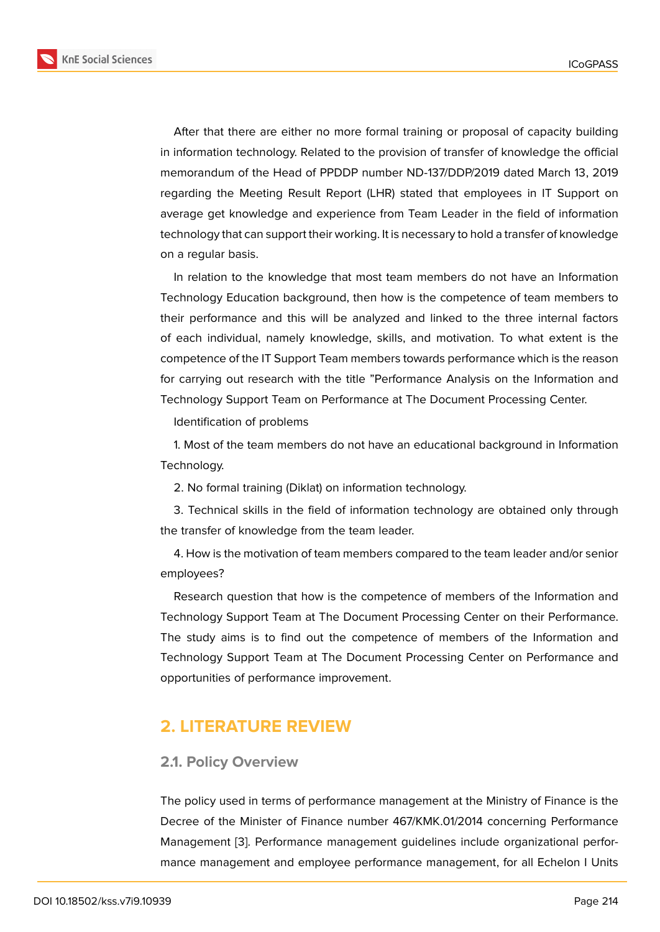After that there are either no more formal training or proposal of capacity building in information technology. Related to the provision of transfer of knowledge the official memorandum of the Head of PPDDP number ND-137/DDP/2019 dated March 13, 2019 regarding the Meeting Result Report (LHR) stated that employees in IT Support on average get knowledge and experience from Team Leader in the field of information technology that can support their working. It is necessary to hold a transfer of knowledge on a regular basis.

In relation to the knowledge that most team members do not have an Information Technology Education background, then how is the competence of team members to their performance and this will be analyzed and linked to the three internal factors of each individual, namely knowledge, skills, and motivation. To what extent is the competence of the IT Support Team members towards performance which is the reason for carrying out research with the title "Performance Analysis on the Information and Technology Support Team on Performance at The Document Processing Center.

Identification of problems

1. Most of the team members do not have an educational background in Information Technology.

2. No formal training (Diklat) on information technology.

3. Technical skills in the field of information technology are obtained only through the transfer of knowledge from the team leader.

4. How is the motivation of team members compared to the team leader and/or senior employees?

Research question that how is the competence of members of the Information and Technology Support Team at The Document Processing Center on their Performance. The study aims is to find out the competence of members of the Information and Technology Support Team at The Document Processing Center on Performance and opportunities of performance improvement.

# **2. LITERATURE REVIEW**

## **2.1. Policy Overview**

The policy used in terms of performance management at the Ministry of Finance is the Decree of the Minister of Finance number 467/KMK.01/2014 concerning Performance Management [3]. Performance management guidelines include organizational performance management and employee performance management, for all Echelon I Units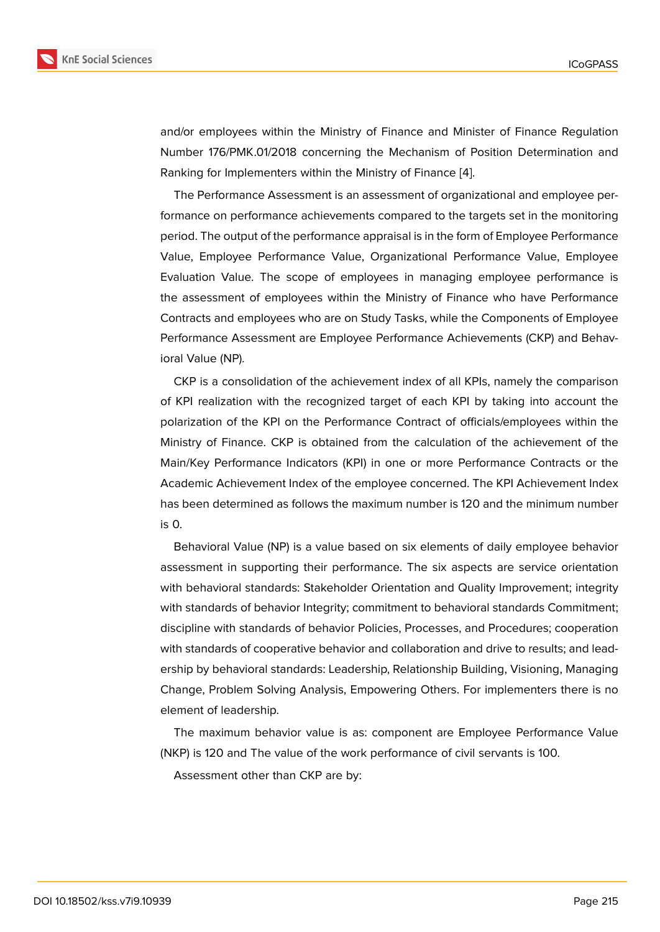and/or employees within the Ministry of Finance and Minister of Finance Regulation Number 176/PMK.01/2018 concerning the Mechanism of Position Determination and Ranking for Implementers within the Ministry of Finance [4].

The Performance Assessment is an assessment of organizational and employee performance on performance achievements compared to the targets set in the monitoring period. The output of the performance appraisal is in the f[or](#page-17-2)m of Employee Performance Value, Employee Performance Value, Organizational Performance Value, Employee Evaluation Value. The scope of employees in managing employee performance is the assessment of employees within the Ministry of Finance who have Performance Contracts and employees who are on Study Tasks, while the Components of Employee Performance Assessment are Employee Performance Achievements (CKP) and Behavioral Value (NP).

CKP is a consolidation of the achievement index of all KPIs, namely the comparison of KPI realization with the recognized target of each KPI by taking into account the polarization of the KPI on the Performance Contract of officials/employees within the Ministry of Finance. CKP is obtained from the calculation of the achievement of the Main/Key Performance Indicators (KPI) in one or more Performance Contracts or the Academic Achievement Index of the employee concerned. The KPI Achievement Index has been determined as follows the maximum number is 120 and the minimum number is 0.

Behavioral Value (NP) is a value based on six elements of daily employee behavior assessment in supporting their performance. The six aspects are service orientation with behavioral standards: Stakeholder Orientation and Quality Improvement; integrity with standards of behavior Integrity; commitment to behavioral standards Commitment; discipline with standards of behavior Policies, Processes, and Procedures; cooperation with standards of cooperative behavior and collaboration and drive to results; and leadership by behavioral standards: Leadership, Relationship Building, Visioning, Managing Change, Problem Solving Analysis, Empowering Others. For implementers there is no element of leadership.

The maximum behavior value is as: component are Employee Performance Value (NKP) is 120 and The value of the work performance of civil servants is 100.

Assessment other than CKP are by: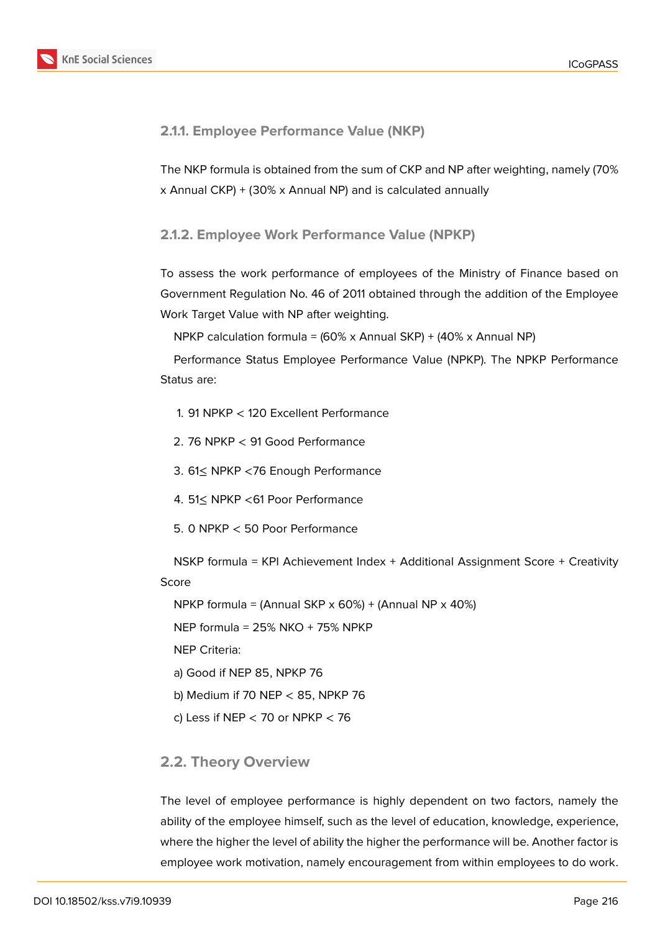

## **2.1.1. Employee Performance Value (NKP)**

The NKP formula is obtained from the sum of CKP and NP after weighting, namely (70% x Annual CKP) + (30% x Annual NP) and is calculated annually

## **2.1.2. Employee Work Performance Value (NPKP)**

To assess the work performance of employees of the Ministry of Finance based on Government Regulation No. 46 of 2011 obtained through the addition of the Employee Work Target Value with NP after weighting.

NPKP calculation formula = (60% x Annual SKP) + (40% x Annual NP)

Performance Status Employee Performance Value (NPKP). The NPKP Performance Status are:

- 1. 91 NPKP < 120 Excellent Performance
- 2. 76 NPKP < 91 Good Performance
- 3. 61≤ NPKP <76 Enough Performance
- 4. 51≤ NPKP <61 Poor Performance
- 5. 0 NPKP < 50 Poor Performance

NSKP formula = KPI Achievement Index + Additional Assignment Score + Creativity Score

NPKP formula = (Annual SKP  $\times$  60%) + (Annual NP  $\times$  40%)

NEP formula = 25% NKO + 75% NPKP

NEP Criteria:

a) Good if NEP 85, NPKP 76

b) Medium if 70 NEP < 85, NPKP 76

c) Less if NEP  $<$  70 or NPKP  $<$  76

## **2.2. Theory Overview**

The level of employee performance is highly dependent on two factors, namely the ability of the employee himself, such as the level of education, knowledge, experience, where the higher the level of ability the higher the performance will be. Another factor is employee work motivation, namely encouragement from within employees to do work.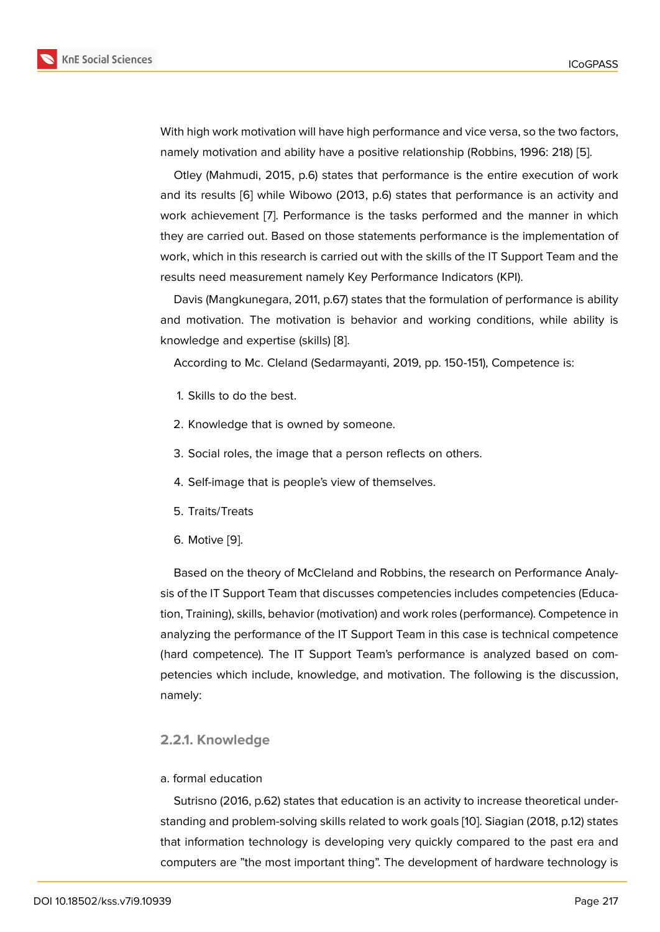With high work motivation will have high performance and vice versa, so the two factors, namely motivation and ability have a positive relationship (Robbins, 1996: 218) [5].

Otley (Mahmudi, 2015, p.6) states that performance is the entire execution of work and its results [6] while Wibowo (2013, p.6) states that performance is an activity and work achievement [7]. Performance is the tasks performed and the manner i[n](#page-17-3) which they are carried out. Based on those statements performance is the implementation of work, which in [thi](#page-17-4)s research is carried out with the skills of the IT Support Team and the results need measu[re](#page-18-0)ment namely Key Performance Indicators (KPI).

Davis (Mangkunegara, 2011, p.67) states that the formulation of performance is ability and motivation. The motivation is behavior and working conditions, while ability is knowledge and expertise (skills) [8].

According to Mc. Cleland (Sedarmayanti, 2019, pp. 150-151), Competence is:

- 1. Skills to do the best.
- 2. Knowledge that is owned by someone.
- 3. Social roles, the image that a person reflects on others.
- 4. Self-image that is people's view of themselves.
- 5. Traits/Treats
- 6. Motive [9].

Based on the theory of McCleland and Robbins, the research on Performance Analysis of the IT S[up](#page-18-1)port Team that discusses competencies includes competencies (Education, Training), skills, behavior (motivation) and work roles (performance). Competence in analyzing the performance of the IT Support Team in this case is technical competence (hard competence). The IT Support Team's performance is analyzed based on competencies which include, knowledge, and motivation. The following is the discussion, namely:

#### **2.2.1. Knowledge**

#### a. formal education

Sutrisno (2016, p.62) states that education is an activity to increase theoretical understanding and problem-solving skills related to work goals [10]. Siagian (2018, p.12) states that information technology is developing very quickly compared to the past era and computers are "the most important thing". The development of hardware technology is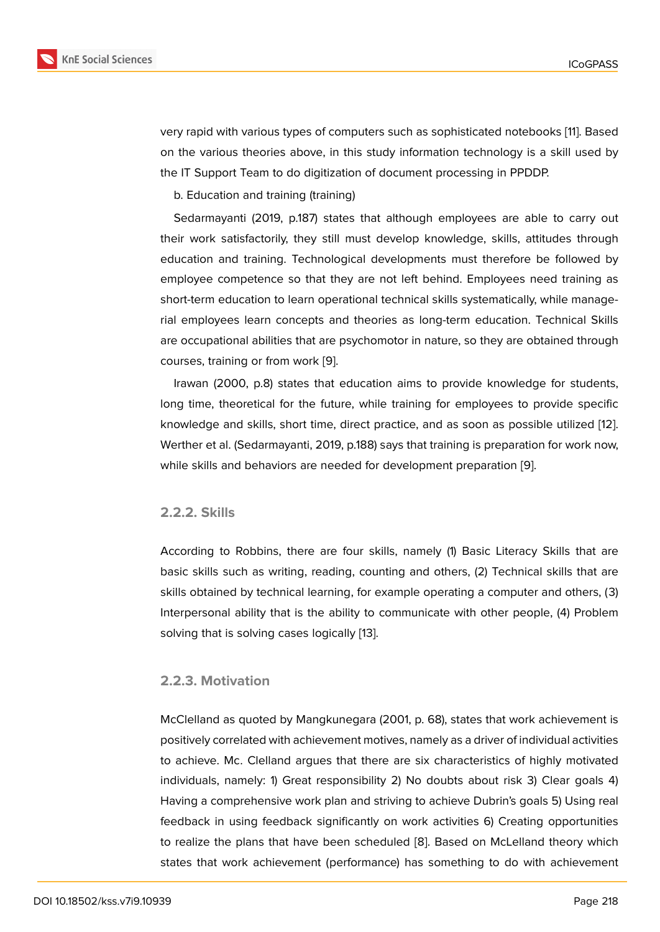very rapid with various types of computers such as sophisticated notebooks [11]. Based on the various theories above, in this study information technology is a skill used by the IT Support Team to do digitization of document processing in PPDDP.

b. Education and training (training)

Sedarmayanti (2019, p.187) states that although employees are able to carry out their work satisfactorily, they still must develop knowledge, skills, attitudes through education and training. Technological developments must therefore be followed by employee competence so that they are not left behind. Employees need training as short-term education to learn operational technical skills systematically, while managerial employees learn concepts and theories as long-term education. Technical Skills are occupational abilities that are psychomotor in nature, so they are obtained through courses, training or from work [9].

Irawan (2000, p.8) states that education aims to provide knowledge for students, long time, theoretical for the future, while training for employees to provide specific knowledge and skills, short ti[me](#page-18-1), direct practice, and as soon as possible utilized [12]. Werther et al. (Sedarmayanti, 2019, p.188) says that training is preparation for work now, while skills and behaviors are needed for development preparation [9].

### **2.2.2. Skills**

According to Robbins, there are four skills, namely (1) Basic Literacy Skills that are basic skills such as writing, reading, counting and others, (2) Technical skills that are skills obtained by technical learning, for example operating a computer and others, (3) Interpersonal ability that is the ability to communicate with other people, (4) Problem solving that is solving cases logically [13].

#### **2.2.3. Motivation**

McClelland as quoted by Mangkunegara (2001, p. 68), states that work achievement is positively correlated with achievement motives, namely as a driver of individual activities to achieve. Mc. Clelland argues that there are six characteristics of highly motivated individuals, namely: 1) Great responsibility 2) No doubts about risk 3) Clear goals 4) Having a comprehensive work plan and striving to achieve Dubrin's goals 5) Using real feedback in using feedback significantly on work activities 6) Creating opportunities to realize the plans that have been scheduled [8]. Based on McLelland theory which states that work achievement (performance) has something to do with achievement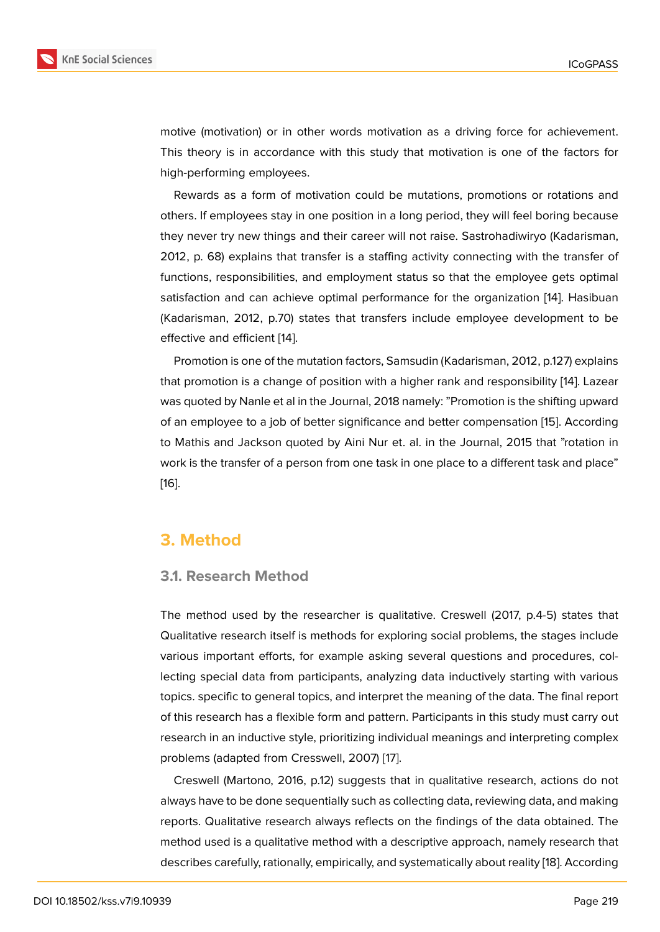motive (motivation) or in other words motivation as a driving force for achievement. This theory is in accordance with this study that motivation is one of the factors for high-performing employees.

Rewards as a form of motivation could be mutations, promotions or rotations and others. If employees stay in one position in a long period, they will feel boring because they never try new things and their career will not raise. Sastrohadiwiryo (Kadarisman, 2012, p. 68) explains that transfer is a staffing activity connecting with the transfer of functions, responsibilities, and employment status so that the employee gets optimal satisfaction and can achieve optimal performance for the organization [14]. Hasibuan (Kadarisman, 2012, p.70) states that transfers include employee development to be effective and efficient [14].

Promotion is one of the mutation factors, Samsudin (Kadarisman, 2012, [p.12](#page-18-2)7) explains that promotion is a change of position with a higher rank and responsibility [14]. Lazear was quoted by Nanle e[t a](#page-18-2)l in the Journal, 2018 namely: "Promotion is the shifting upward of an employee to a job of better significance and better compensation [15]. According to Mathis and Jackson quoted by Aini Nur et. al. in the Journal, 2015 that ["ro](#page-18-2)tation in work is the transfer of a person from one task in one place to a different task and place" [16].

# **[3.](#page-18-3) Method**

## **3.1. Research Method**

The method used by the researcher is qualitative. Creswell (2017, p.4-5) states that Qualitative research itself is methods for exploring social problems, the stages include various important efforts, for example asking several questions and procedures, collecting special data from participants, analyzing data inductively starting with various topics. specific to general topics, and interpret the meaning of the data. The final report of this research has a flexible form and pattern. Participants in this study must carry out research in an inductive style, prioritizing individual meanings and interpreting complex problems (adapted from Cresswell, 2007) [17].

Creswell (Martono, 2016, p.12) suggests that in qualitative research, actions do not always have to be done sequentially such as collecting data, reviewing data, and making reports. Qualitative research always reflec[ts](#page-18-4) on the findings of the data obtained. The method used is a qualitative method with a descriptive approach, namely research that describes carefully, rationally, empirically, and systematically about reality [18]. According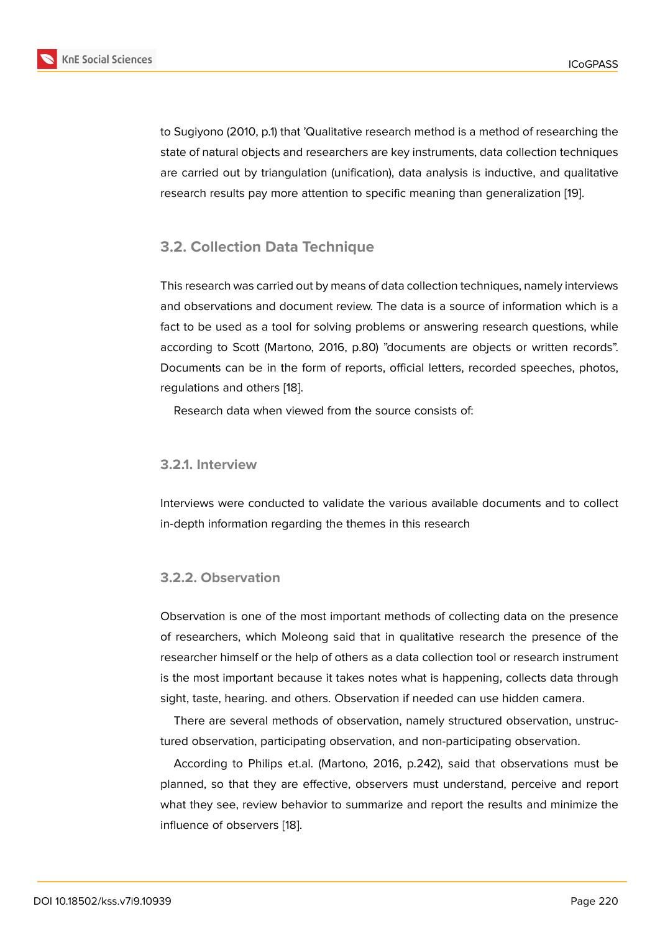to Sugiyono (2010, p.1) that 'Qualitative research method is a method of researching the state of natural objects and researchers are key instruments, data collection techniques are carried out by triangulation (unification), data analysis is inductive, and qualitative research results pay more attention to specific meaning than generalization [19].

## **3.2. Collection Data Technique**

This research was carried out by means of data collection techniques, namely interviews and observations and document review. The data is a source of information which is a fact to be used as a tool for solving problems or answering research questions, while according to Scott (Martono, 2016, p.80) "documents are objects or written records". Documents can be in the form of reports, official letters, recorded speeches, photos, regulations and others [18].

Research data when viewed from the source consists of:

### **3.2.1. Interview**

Interviews were conducted to validate the various available documents and to collect in-depth information regarding the themes in this research

## **3.2.2. Observation**

Observation is one of the most important methods of collecting data on the presence of researchers, which Moleong said that in qualitative research the presence of the researcher himself or the help of others as a data collection tool or research instrument is the most important because it takes notes what is happening, collects data through sight, taste, hearing. and others. Observation if needed can use hidden camera.

There are several methods of observation, namely structured observation, unstructured observation, participating observation, and non-participating observation.

According to Philips et.al. (Martono, 2016, p.242), said that observations must be planned, so that they are effective, observers must understand, perceive and report what they see, review behavior to summarize and report the results and minimize the influence of observers [18].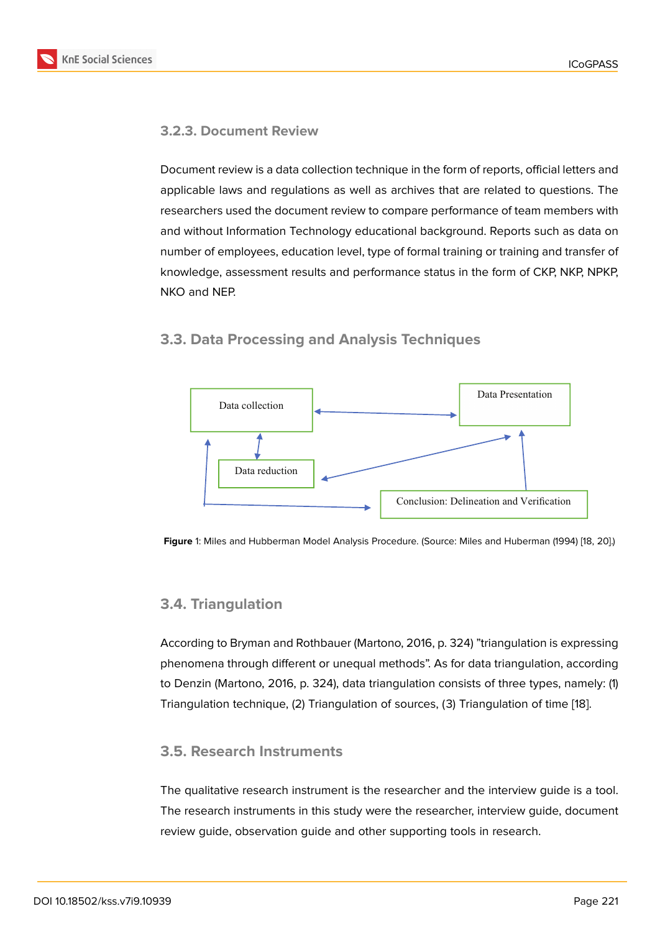## **3.2.3. Document Review**

Document review is a data collection technique in the form of reports, official letters and applicable laws and regulations as well as archives that are related to questions. The researchers used the document review to compare performance of team members with and without Information Technology educational background. Reports such as data on number of employees, education level, type of formal training or training and transfer of knowledge, assessment results and performance status in the form of CKP, NKP, NPKP, NKO and NEP.

## **3.3. Data Processing and Analysis Techniques**



**Figure** 1: Miles and Hubberman Model Analysis Procedure. (Source: Miles and Huberman (1994) [18, 20].)

## **3.4. Triangulation**

According to Bryman and Rothbauer (Martono, 2016, p. 324) "triangulation is expressing phenomena through different or unequal methods". As for data triangulation, according to Denzin (Martono, 2016, p. 324), data triangulation consists of three types, namely: (1) Triangulation technique, (2) Triangulation of sources, (3) Triangulation of time [18].

## **3.5. Research Instruments**

The qualitative research instrument is the researcher and the interview guide is a tool. The research instruments in this study were the researcher, interview guide, document review guide, observation guide and other supporting tools in research.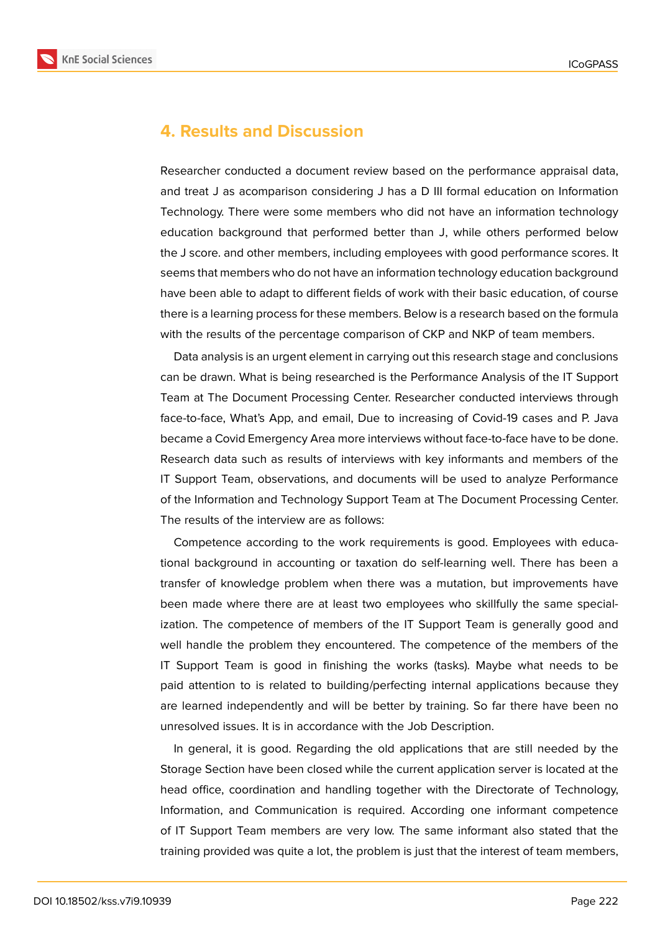

# **4. Results and Discussion**

Researcher conducted a document review based on the performance appraisal data, and treat J as acomparison considering J has a D III formal education on Information Technology. There were some members who did not have an information technology education background that performed better than J, while others performed below the J score. and other members, including employees with good performance scores. It seems that members who do not have an information technology education background have been able to adapt to different fields of work with their basic education, of course there is a learning process for these members. Below is a research based on the formula with the results of the percentage comparison of CKP and NKP of team members.

Data analysis is an urgent element in carrying out this research stage and conclusions can be drawn. What is being researched is the Performance Analysis of the IT Support Team at The Document Processing Center. Researcher conducted interviews through face-to-face, What's App, and email, Due to increasing of Covid-19 cases and P. Java became a Covid Emergency Area more interviews without face-to-face have to be done. Research data such as results of interviews with key informants and members of the IT Support Team, observations, and documents will be used to analyze Performance of the Information and Technology Support Team at The Document Processing Center. The results of the interview are as follows:

Competence according to the work requirements is good. Employees with educational background in accounting or taxation do self-learning well. There has been a transfer of knowledge problem when there was a mutation, but improvements have been made where there are at least two employees who skillfully the same specialization. The competence of members of the IT Support Team is generally good and well handle the problem they encountered. The competence of the members of the IT Support Team is good in finishing the works (tasks). Maybe what needs to be paid attention to is related to building/perfecting internal applications because they are learned independently and will be better by training. So far there have been no unresolved issues. It is in accordance with the Job Description.

In general, it is good. Regarding the old applications that are still needed by the Storage Section have been closed while the current application server is located at the head office, coordination and handling together with the Directorate of Technology, Information, and Communication is required. According one informant competence of IT Support Team members are very low. The same informant also stated that the training provided was quite a lot, the problem is just that the interest of team members,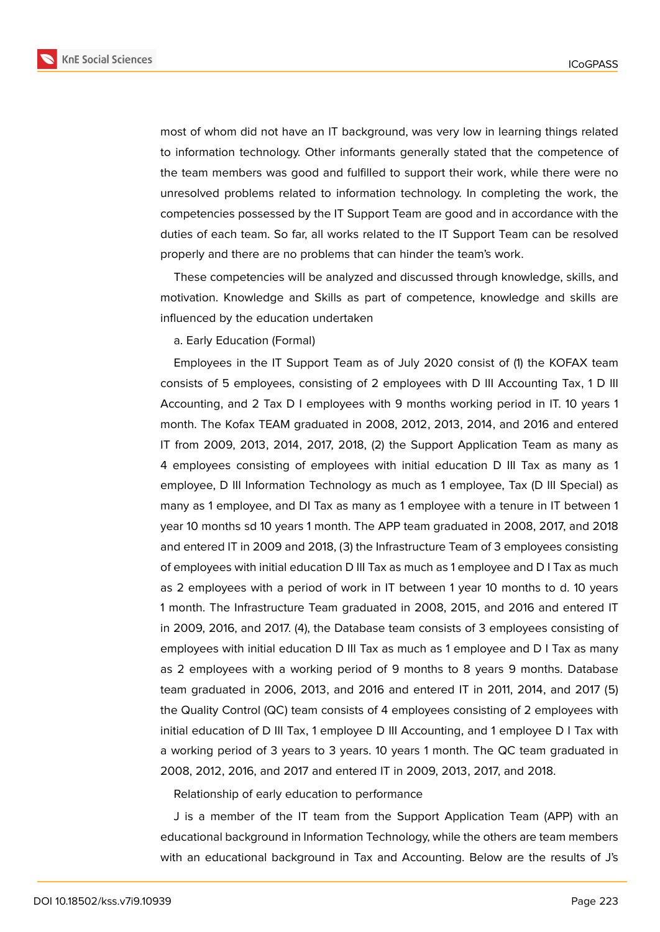**KnE Social Sciences** 



most of whom did not have an IT background, was very low in learning things related to information technology. Other informants generally stated that the competence of the team members was good and fulfilled to support their work, while there were no unresolved problems related to information technology. In completing the work, the competencies possessed by the IT Support Team are good and in accordance with the duties of each team. So far, all works related to the IT Support Team can be resolved properly and there are no problems that can hinder the team's work.

These competencies will be analyzed and discussed through knowledge, skills, and motivation. Knowledge and Skills as part of competence, knowledge and skills are influenced by the education undertaken

### a. Early Education (Formal)

Employees in the IT Support Team as of July 2020 consist of (1) the KOFAX team consists of 5 employees, consisting of 2 employees with D III Accounting Tax, 1 D III Accounting, and 2 Tax D I employees with 9 months working period in IT. 10 years 1 month. The Kofax TEAM graduated in 2008, 2012, 2013, 2014, and 2016 and entered IT from 2009, 2013, 2014, 2017, 2018, (2) the Support Application Team as many as 4 employees consisting of employees with initial education D III Tax as many as 1 employee, D III Information Technology as much as 1 employee, Tax (D III Special) as many as 1 employee, and DI Tax as many as 1 employee with a tenure in IT between 1 year 10 months sd 10 years 1 month. The APP team graduated in 2008, 2017, and 2018 and entered IT in 2009 and 2018, (3) the Infrastructure Team of 3 employees consisting of employees with initial education D III Tax as much as 1 employee and D I Tax as much as 2 employees with a period of work in IT between 1 year 10 months to d. 10 years 1 month. The Infrastructure Team graduated in 2008, 2015, and 2016 and entered IT in 2009, 2016, and 2017. (4), the Database team consists of 3 employees consisting of employees with initial education D III Tax as much as 1 employee and D I Tax as many as 2 employees with a working period of 9 months to 8 years 9 months. Database team graduated in 2006, 2013, and 2016 and entered IT in 2011, 2014, and 2017 (5) the Quality Control (QC) team consists of 4 employees consisting of 2 employees with initial education of D III Tax, 1 employee D III Accounting, and 1 employee D I Tax with a working period of 3 years to 3 years. 10 years 1 month. The QC team graduated in 2008, 2012, 2016, and 2017 and entered IT in 2009, 2013, 2017, and 2018.

Relationship of early education to performance

J is a member of the IT team from the Support Application Team (APP) with an educational background in Information Technology, while the others are team members with an educational background in Tax and Accounting. Below are the results of J's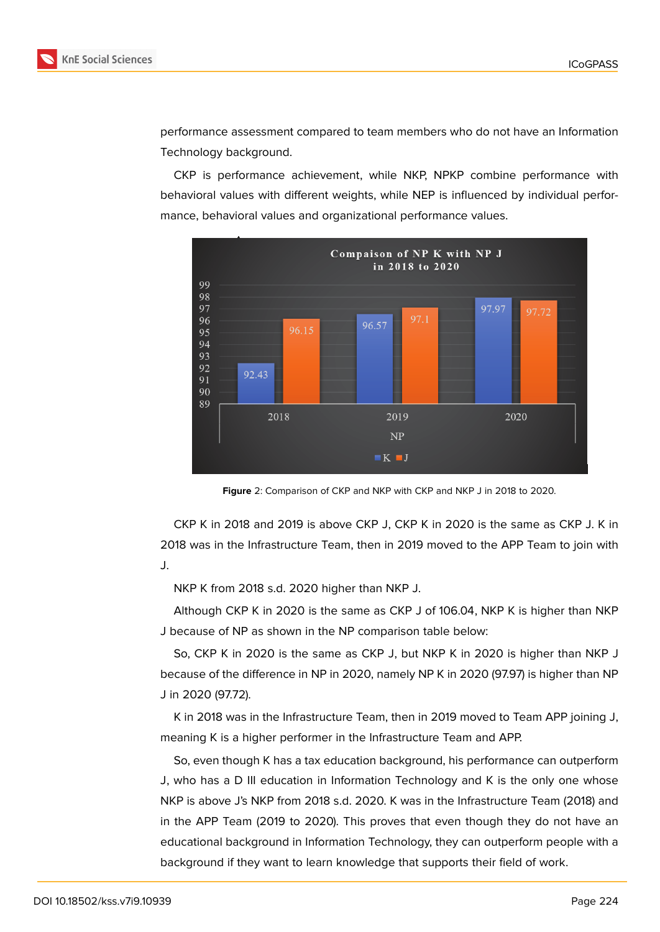



performance assessment compared to team members who do not have an Information Technology background.

CKP is performance achievement, while NKP, NPKP combine performance with behavioral values with different weights, while NEP is influenced by individual performance, behavioral values and organizational performance values.



**Figure** 2: Comparison of CKP and NKP with CKP and NKP J in 2018 to 2020.

CKP K in 2018 and 2019 is above CKP J, CKP K in 2020 is the same as CKP J. K in 2018 was in the Infrastructure Team, then in 2019 moved to the APP Team to join with J.

NKP K from 2018 s.d. 2020 higher than NKP J.

Although CKP K in 2020 is the same as CKP J of 106.04, NKP K is higher than NKP J because of NP as shown in the NP comparison table below:

So, CKP K in 2020 is the same as CKP J, but NKP K in 2020 is higher than NKP J because of the difference in NP in 2020, namely NP K in 2020 (97.97) is higher than NP J in 2020 (97.72).

K in 2018 was in the Infrastructure Team, then in 2019 moved to Team APP joining J, meaning K is a higher performer in the Infrastructure Team and APP.

So, even though K has a tax education background, his performance can outperform J, who has a D III education in Information Technology and K is the only one whose NKP is above J's NKP from 2018 s.d. 2020. K was in the Infrastructure Team (2018) and in the APP Team (2019 to 2020). This proves that even though they do not have an educational background in Information Technology, they can outperform people with a background if they want to learn knowledge that supports their field of work.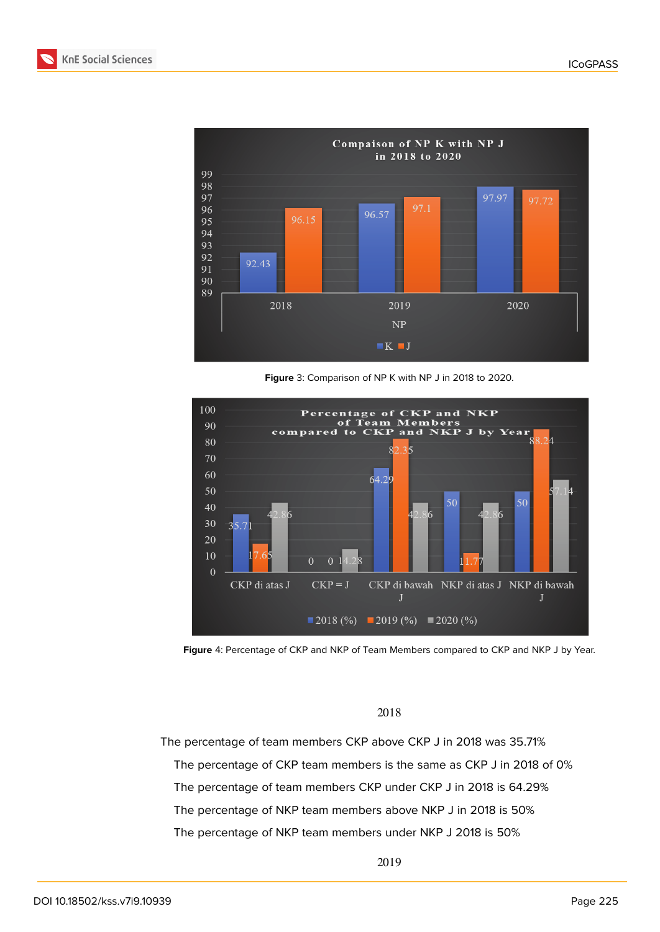



**Figure** 3: Comparison of NP K with NP J in 2018 to 2020.





#### 2018

The percentage of team members CKP above CKP J in 2018 was 35.71% The percentage of CKP team members is the same as CKP J in 2018 of 0% The percentage of team members CKP under CKP J in 2018 is 64.29% The percentage of NKP team members above NKP J in 2018 is 50% The percentage of NKP team members under NKP J 2018 is 50%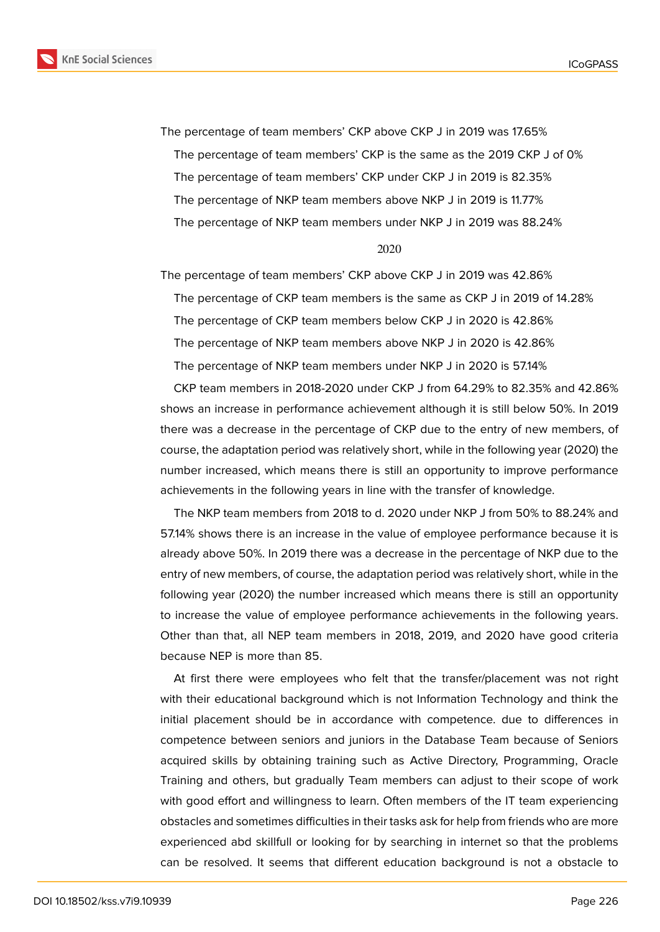**KnE Social Sciences** 



The percentage of team members' CKP above CKP J in 2019 was 17.65% The percentage of team members' CKP is the same as the 2019 CKP J of 0% The percentage of team members' CKP under CKP J in 2019 is 82.35% The percentage of NKP team members above NKP J in 2019 is 11.77% The percentage of NKP team members under NKP J in 2019 was 88.24%

#### 2020

The percentage of team members' CKP above CKP J in 2019 was 42.86% The percentage of CKP team members is the same as CKP J in 2019 of 14.28% The percentage of CKP team members below CKP J in 2020 is 42.86% The percentage of NKP team members above NKP J in 2020 is 42.86% The percentage of NKP team members under NKP J in 2020 is 57.14%

CKP team members in 2018-2020 under CKP J from 64.29% to 82.35% and 42.86% shows an increase in performance achievement although it is still below 50%. In 2019 there was a decrease in the percentage of CKP due to the entry of new members, of course, the adaptation period was relatively short, while in the following year (2020) the number increased, which means there is still an opportunity to improve performance achievements in the following years in line with the transfer of knowledge.

The NKP team members from 2018 to d. 2020 under NKP J from 50% to 88.24% and 57.14% shows there is an increase in the value of employee performance because it is already above 50%. In 2019 there was a decrease in the percentage of NKP due to the entry of new members, of course, the adaptation period was relatively short, while in the following year (2020) the number increased which means there is still an opportunity to increase the value of employee performance achievements in the following years. Other than that, all NEP team members in 2018, 2019, and 2020 have good criteria because NEP is more than 85.

At first there were employees who felt that the transfer/placement was not right with their educational background which is not Information Technology and think the initial placement should be in accordance with competence. due to differences in competence between seniors and juniors in the Database Team because of Seniors acquired skills by obtaining training such as Active Directory, Programming, Oracle Training and others, but gradually Team members can adjust to their scope of work with good effort and willingness to learn. Often members of the IT team experiencing obstacles and sometimes difficulties in their tasks ask for help from friends who are more experienced abd skillfull or looking for by searching in internet so that the problems can be resolved. It seems that different education background is not a obstacle to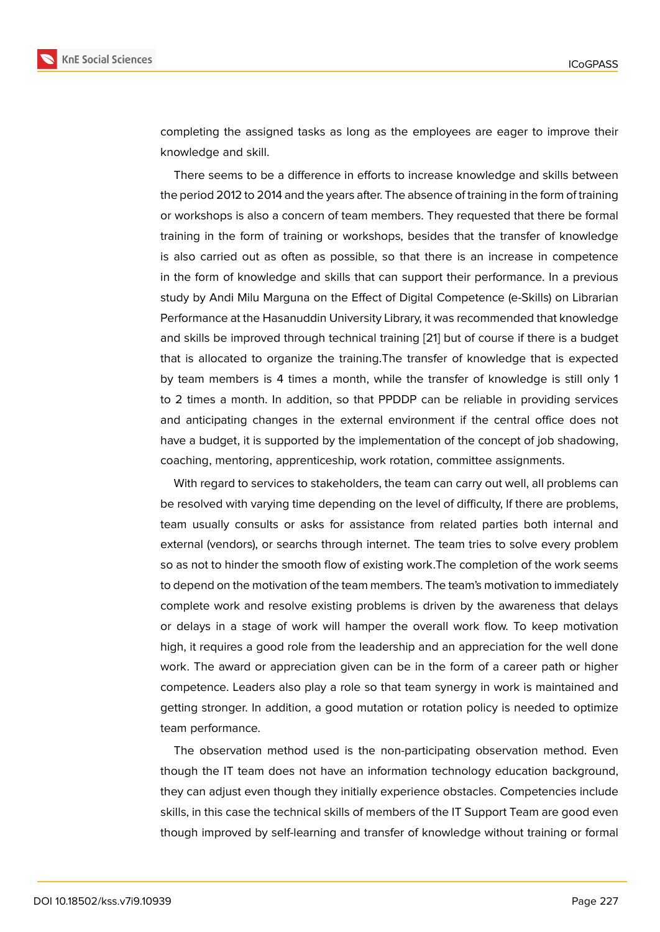completing the assigned tasks as long as the employees are eager to improve their knowledge and skill.

There seems to be a difference in efforts to increase knowledge and skills between the period 2012 to 2014 and the years after. The absence of training in the form of training or workshops is also a concern of team members. They requested that there be formal training in the form of training or workshops, besides that the transfer of knowledge is also carried out as often as possible, so that there is an increase in competence in the form of knowledge and skills that can support their performance. In a previous study by Andi Milu Marguna on the Effect of Digital Competence (e-Skills) on Librarian Performance at the Hasanuddin University Library, it was recommended that knowledge and skills be improved through technical training [21] but of course if there is a budget that is allocated to organize the training.The transfer of knowledge that is expected by team members is 4 times a month, while the transfer of knowledge is still only 1 to 2 times a month. In addition, so that PPDDP [can](#page-18-5) be reliable in providing services and anticipating changes in the external environment if the central office does not have a budget, it is supported by the implementation of the concept of job shadowing, coaching, mentoring, apprenticeship, work rotation, committee assignments.

With regard to services to stakeholders, the team can carry out well, all problems can be resolved with varying time depending on the level of difficulty, If there are problems, team usually consults or asks for assistance from related parties both internal and external (vendors), or searchs through internet. The team tries to solve every problem so as not to hinder the smooth flow of existing work.The completion of the work seems to depend on the motivation of the team members. The team's motivation to immediately complete work and resolve existing problems is driven by the awareness that delays or delays in a stage of work will hamper the overall work flow. To keep motivation high, it requires a good role from the leadership and an appreciation for the well done work. The award or appreciation given can be in the form of a career path or higher competence. Leaders also play a role so that team synergy in work is maintained and getting stronger. In addition, a good mutation or rotation policy is needed to optimize team performance.

The observation method used is the non-participating observation method. Even though the IT team does not have an information technology education background, they can adjust even though they initially experience obstacles. Competencies include skills, in this case the technical skills of members of the IT Support Team are good even though improved by self-learning and transfer of knowledge without training or formal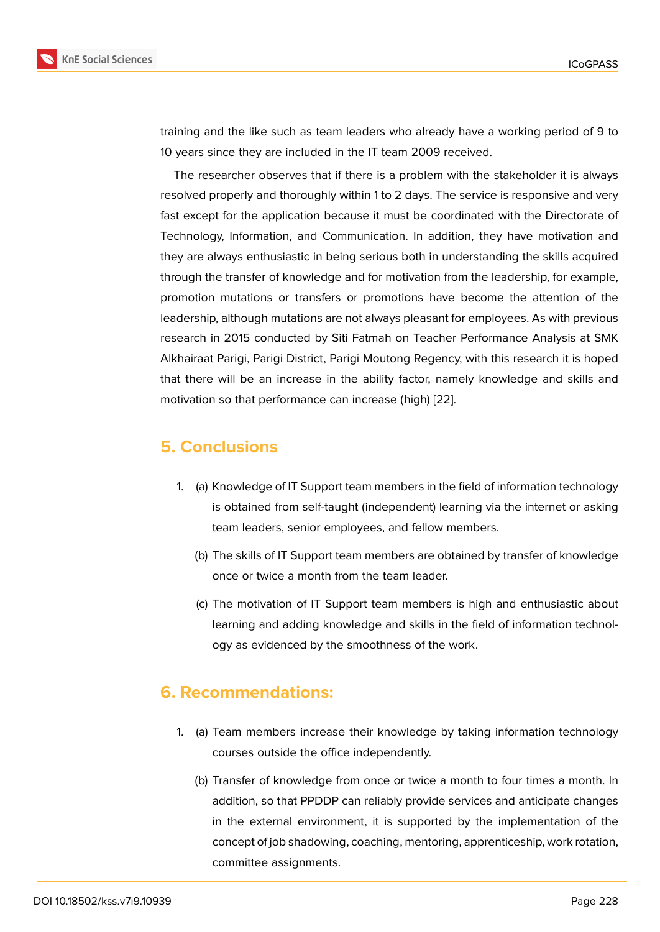training and the like such as team leaders who already have a working period of 9 to 10 years since they are included in the IT team 2009 received.

The researcher observes that if there is a problem with the stakeholder it is always resolved properly and thoroughly within 1 to 2 days. The service is responsive and very fast except for the application because it must be coordinated with the Directorate of Technology, Information, and Communication. In addition, they have motivation and they are always enthusiastic in being serious both in understanding the skills acquired through the transfer of knowledge and for motivation from the leadership, for example, promotion mutations or transfers or promotions have become the attention of the leadership, although mutations are not always pleasant for employees. As with previous research in 2015 conducted by Siti Fatmah on Teacher Performance Analysis at SMK Alkhairaat Parigi, Parigi District, Parigi Moutong Regency, with this research it is hoped that there will be an increase in the ability factor, namely knowledge and skills and motivation so that performance can increase (high) [22].

# **5. Conclusions**

- 1. (a) Knowledge of IT Support team members in the field of information technology is obtained from self-taught (independent) learning via the internet or asking team leaders, senior employees, and fellow members.
	- (b) The skills of IT Support team members are obtained by transfer of knowledge once or twice a month from the team leader.
	- (c) The motivation of IT Support team members is high and enthusiastic about learning and adding knowledge and skills in the field of information technology as evidenced by the smoothness of the work.

# **6. Recommendations:**

- 1. (a) Team members increase their knowledge by taking information technology courses outside the office independently.
	- (b) Transfer of knowledge from once or twice a month to four times a month. In addition, so that PPDDP can reliably provide services and anticipate changes in the external environment, it is supported by the implementation of the concept of job shadowing, coaching, mentoring, apprenticeship, work rotation, committee assignments.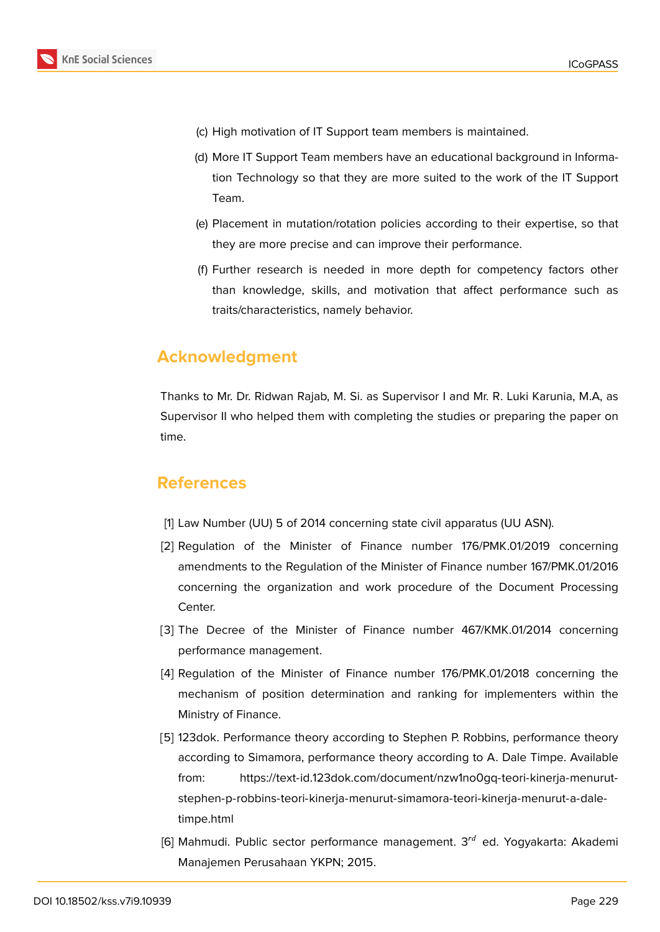- (c) High motivation of IT Support team members is maintained.
- (d) More IT Support Team members have an educational background in Information Technology so that they are more suited to the work of the IT Support Team.
- (e) Placement in mutation/rotation policies according to their expertise, so that they are more precise and can improve their performance.
- (f) Further research is needed in more depth for competency factors other than knowledge, skills, and motivation that affect performance such as traits/characteristics, namely behavior.

# **Acknowledgment**

Thanks to Mr. Dr. Ridwan Rajab, M. Si. as Supervisor I and Mr. R. Luki Karunia, M.A, as Supervisor II who helped them with completing the studies or preparing the paper on time.

# **References**

- [1] Law Number (UU) 5 of 2014 concerning state civil apparatus (UU ASN).
- <span id="page-17-0"></span>[2] Regulation of the Minister of Finance number 176/PMK.01/2019 concerning amendments to the Regulation of the Minister of Finance number 167/PMK.01/2016 concerning the organization and work procedure of the Document Processing Center.
- <span id="page-17-1"></span>[3] The Decree of the Minister of Finance number 467/KMK.01/2014 concerning performance management.
- [4] Regulation of the Minister of Finance number 176/PMK.01/2018 concerning the mechanism of position determination and ranking for implementers within the Ministry of Finance.
- <span id="page-17-3"></span><span id="page-17-2"></span>[5] 123dok. Performance theory according to Stephen P. Robbins, performance theory according to Simamora, performance theory according to A. Dale Timpe. Available from: https://text-id.123dok.com/document/nzw1no0gq-teori-kinerja-menurutstephen-p-robbins-teori-kinerja-menurut-simamora-teori-kinerja-menurut-a-daletimpe.html
- <span id="page-17-4"></span>[6] Mahmudi. Public sector performance management.  $3<sup>rd</sup>$  ed. Yogyakarta: Akademi [Manajemen Perusahaan YKPN; 2015.](https://text-id.123dok.com/document/nzw1no0gq-teori-kinerja-menurut-stephen-p-robbins-teori-kinerja-menurut-simamora-teori-kinerja-menurut-a-dale-timpe.html)